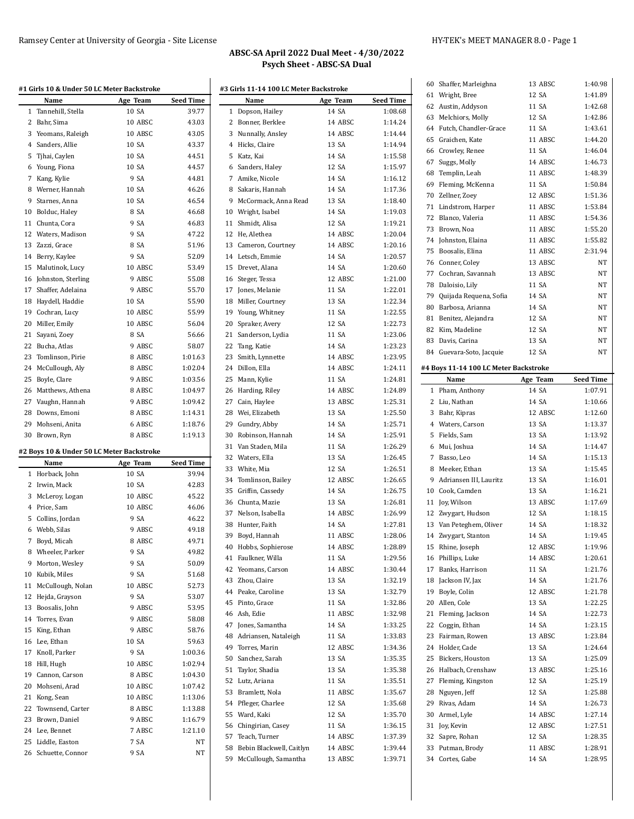|                                                    | Name                                      | Age Team         | Seed Time                                                                                                                                                                  |
|----------------------------------------------------|-------------------------------------------|------------------|----------------------------------------------------------------------------------------------------------------------------------------------------------------------------|
| 1                                                  | Tannehill, Stella                         | 10 SA            | 39.77                                                                                                                                                                      |
| 2                                                  | Bahr, Sima                                | 10 ABSC          | 43.03                                                                                                                                                                      |
|                                                    | 3 Yeomans, Raleigh                        | 10 ABSC          | 43.05                                                                                                                                                                      |
|                                                    | 4 Sanders, Allie                          | 10 SA            | 43.37                                                                                                                                                                      |
| 5                                                  | Tjhai, Caylen                             | 10 SA            | 44.51                                                                                                                                                                      |
|                                                    | 6 Young, Fiona                            | 10 SA            | 44.57                                                                                                                                                                      |
| 7                                                  | Kang, Kylie                               | 9 SA             | 44.81                                                                                                                                                                      |
|                                                    | 8 Werner, Hannah                          | 10 SA            | 46.26                                                                                                                                                                      |
| 9                                                  | Starnes, Anna                             | 10 SA            | 46.54                                                                                                                                                                      |
|                                                    | 10 Bolduc, Haley                          | 8 SA             | 46.68                                                                                                                                                                      |
| 11                                                 | Chunta, Cora                              | 9 SA             | 46.83                                                                                                                                                                      |
|                                                    | 12 Waters, Madison                        | 9 SA             | 47.22                                                                                                                                                                      |
|                                                    | 13 Zazzi, Grace                           | 8 SA             | 51.96                                                                                                                                                                      |
|                                                    | 14 Berry, Kaylee                          | 9 SA             | 52.09                                                                                                                                                                      |
|                                                    | 15 Malutinok, Lucy                        | 10 ABSC          | 53.49                                                                                                                                                                      |
| 16                                                 | Johnston, Sterling                        | 9 ABSC           | 55.08                                                                                                                                                                      |
| 17                                                 | Shaffer, Adelaina                         | 9 ABSC           | 55.70                                                                                                                                                                      |
|                                                    | 18 Haydell, Haddie                        | 10 SA            | 55.90                                                                                                                                                                      |
| 19                                                 | Cochran, Lucy                             | 10 ABSC          | 55.99                                                                                                                                                                      |
|                                                    | 20 Miller, Emily                          | 10 ABSC          | 56.04                                                                                                                                                                      |
| 21                                                 | Sayani, Zoey                              | 8 SA             | 56.66                                                                                                                                                                      |
| 22                                                 | Bucha, Atlas                              | 9 ABSC           | 58.07                                                                                                                                                                      |
|                                                    | 23 Tomlinson, Pirie                       | 8 ABSC           | 1:01.63                                                                                                                                                                    |
|                                                    | 24 McCullough, Aly                        | 8 ABSC           | 1:02.04                                                                                                                                                                    |
|                                                    | 25 Boyle, Clare                           | 9 ABSC           | 1:03.56                                                                                                                                                                    |
|                                                    | 26 Matthews, Athena                       | 8 ABSC           | 1:04.97                                                                                                                                                                    |
|                                                    | 27 Vaughn, Hannah                         | 9 ABSC           | 1:09.42                                                                                                                                                                    |
|                                                    | 28 Downs, Emoni                           | 8 ABSC           | 1:14.31                                                                                                                                                                    |
| 29                                                 | Mohseni, Anita                            | 6 ABSC           | 1:18.76                                                                                                                                                                    |
|                                                    | 30 Brown, Ryn                             | 8 ABSC           | 1:19.13                                                                                                                                                                    |
|                                                    |                                           |                  |                                                                                                                                                                            |
|                                                    | #2 Boys 10 & Under 50 LC Meter Backstroke | Age Team         | Seed Time                                                                                                                                                                  |
| 1                                                  | Name<br>Horback, John                     | 10 SA            | 39.94                                                                                                                                                                      |
| 2                                                  | Irwin, Mack                               | 10 SA            | 42.83                                                                                                                                                                      |
| 3                                                  | McLeroy, Logan                            | 10 ABSC          | 45.22                                                                                                                                                                      |
|                                                    | 4 Price, Sam                              | 10 ABSC          | 46.06                                                                                                                                                                      |
|                                                    |                                           |                  |                                                                                                                                                                            |
|                                                    |                                           |                  |                                                                                                                                                                            |
| 5                                                  | Collins, Jordan                           | 9 SA             |                                                                                                                                                                            |
| 6                                                  | Webb, Silas                               | 9 ABSC           |                                                                                                                                                                            |
| 7                                                  | Boyd, Micah                               | 8 ABSC           |                                                                                                                                                                            |
| 8                                                  | Wheeler, Parker                           | 9 SA             |                                                                                                                                                                            |
| 9                                                  | Morton, Wesley                            | 9 SA             |                                                                                                                                                                            |
|                                                    | Kubik, Miles                              | 9 SA             |                                                                                                                                                                            |
|                                                    | McCullough, Nolan                         | 10 ABSC          |                                                                                                                                                                            |
|                                                    | Hejda, Grayson                            | 9 SA             |                                                                                                                                                                            |
|                                                    | Boosalis, John                            | 9 ABSC           |                                                                                                                                                                            |
|                                                    | 14 Torres, Evan                           | 9 ABSC           |                                                                                                                                                                            |
|                                                    | King, Ethan                               | 9 ABSC           |                                                                                                                                                                            |
|                                                    | Lee, Ethan                                | 10 SA            |                                                                                                                                                                            |
|                                                    | Knoll, Parker                             | 9 SA             |                                                                                                                                                                            |
|                                                    | Hill, Hugh                                | 10 ABSC          |                                                                                                                                                                            |
| 10<br>11<br>12<br>13<br>15<br>16<br>17<br>18<br>19 | Cannon, Carson                            | 8 ABSC           |                                                                                                                                                                            |
|                                                    | Mohseni, Arad                             | 10 ABSC          |                                                                                                                                                                            |
| 20<br>21                                           | Kong, Sean                                | 10 ABSC          |                                                                                                                                                                            |
|                                                    | Townsend, Carter                          | 8 ABSC           | 46.22<br>49.18<br>49.71<br>49.82<br>50.09<br>51.68<br>52.73<br>53.07<br>53.95<br>58.08<br>58.76<br>59.63<br>1:00.36<br>1:02.94<br>1:04.30<br>1:07.42<br>1:13.06<br>1:13.88 |
| 22<br>23                                           | Brown, Daniel<br>24 Lee, Bennet           | 9 ABSC<br>7 ABSC | 1:16.79<br>1:21.10                                                                                                                                                         |

 Liddle, Easton 7 SA NT Schuette, Connor 9 SA NT

|              | #3 Girls 11-14 100 LC Meter Backstroke<br>Name | Age Team | <b>Seed Time</b> |
|--------------|------------------------------------------------|----------|------------------|
|              |                                                | 14 SA    | 1:08.68          |
| $\mathbf{1}$ | Dopson, Hailey                                 |          |                  |
|              | 2 Bonner, Berklee                              | 14 ABSC  | 1:14.24          |
|              | 3 Nunnally, Ansley                             | 14 ABSC  | 1:14.44          |
|              | 4 Hicks, Claire                                | 13 SA    | 1:14.94          |
|              | 5 Katz, Kai                                    | 14 SA    | 1:15.58          |
|              | 6 Sanders, Haley                               | 12 SA    | 1:15.97          |
|              | 7 Amike, Nicole                                | 14 SA    | 1:16.12          |
|              | 8 Sakaris, Hannah                              | 14 SA    | 1:17.36          |
|              | 9 McCormack, Anna Read                         | 13 SA    | 1:18.40          |
|              | 10 Wright, Isabel                              | 14 SA    | 1:19.03          |
|              | 11 Shmidt, Alisa                               | 12 SA    | 1:19.21          |
|              | 12 He, Alethea                                 | 14 ABSC  | 1:20.04          |
|              | 13 Cameron, Courtney                           | 14 ABSC  | 1:20.16          |
|              | 14 Letsch, Emmie                               | 14 SA    | 1:20.57          |
|              | 15 Drevet, Alana                               | 14 SA    | 1:20.60          |
|              | 16 Steger, Tessa                               | 12 ABSC  | 1:21.00          |
|              | 17 Jones, Melanie                              | 11 SA    | 1:22.01          |
|              | 18 Miller, Courtney                            | 13 SA    | 1:22.34          |
|              | 19 Young, Whitney                              | 11 SA    | 1:22.55          |
|              | 20 Spraker, Avery                              | 12 SA    | 1:22.73          |
|              | 21 Sanderson, Lydia                            | 11 SA    | 1:23.06          |
|              | 22 Tang, Katie                                 | 14 SA    | 1:23.23          |
|              | 23 Smith, Lynnette                             | 14 ABSC  | 1:23.95          |
|              | 24 Dillon, Ella                                | 14 ABSC  | 1:24.11          |
|              | 25 Mann, Kylie                                 | 11 SA    | 1:24.81          |
| 26           | Harding, Riley                                 | 14 ABSC  | 1:24.89          |
|              | 27 Cain, Haylee                                | 13 ABSC  | 1:25.31          |
|              | 28 Wei, Elizabeth                              | 13 SA    | 1:25.50          |
|              |                                                | 14 SA    | 1:25.71          |
| 30           | 29 Gundry, Abby                                |          |                  |
|              | Robinson, Hannah                               | 14 SA    | 1:25.91          |
| 31           | Van Staden, Mila                               | 11 SA    | 1:26.29          |
|              | 32 Waters, Ella                                | 13 SA    | 1:26.45          |
|              | 33 White, Mia                                  | 12 SA    | 1:26.51          |
|              | 34 Tomlinson, Bailey                           | 12 ABSC  | 1:26.65          |
|              | 35 Griffin, Cassedy                            | 14 SA    | 1:26.75          |
|              | 36 Chunta, Mazie                               | 13 SA    | 1:26.81          |
|              | 37 Nelson, Isabella                            | 14 ABSC  | 1:26.99          |
|              | 38 Hunter, Faith                               | 14 SA    | 1:27.81          |
|              | 39 Boyd, Hannah                                | 11 ABSC  | 1:28.06          |
|              | 40 Hobbs, Sophierose                           | 14 ABSC  | 1:28.89          |
|              | 41 Faulkner, Willa                             | 11 SA    | 1:29.56          |
|              | 42 Yeomans, Carson                             | 14 ABSC  | 1:30.44          |
|              | 43 Zhou, Claire                                | 13 SA    | 1:32.19          |
|              | 44 Peake, Caroline                             | 13 SA    | 1:32.79          |
|              | 45 Pinto, Grace                                | 11 SA    | 1:32.86          |
|              | 46 Ash, Edie                                   | 11 ABSC  | 1:32.98          |
|              | 47 Jones, Samantha                             | 14 SA    | 1:33.25          |
|              | 48 Adriansen, Nataleigh                        | 11 SA    | 1:33.83          |
|              | 49 Torres, Marin                               | 12 ABSC  | 1:34.36          |
|              | 50 Sanchez, Sarah                              | 13 SA    | 1:35.35          |
|              | 51 Taylor, Shadia                              | 13 SA    | 1:35.38          |
|              | 52 Lutz, Ariana                                | 11 SA    | 1:35.51          |
|              | 53 Bramlett, Nola                              | 11 ABSC  | 1:35.67          |
|              | 54 Pfleger, Charlee                            | 12 SA    | 1:35.68          |
|              | 55 Ward, Kaki                                  | 12 SA    | 1:35.70          |
|              | 56 Chingirian, Casey                           | 11 SA    | 1:36.15          |
|              | 57 Teach, Turner                               | 14 ABSC  | 1:37.39          |
|              | 58 Bebin Blackwell, Caitlyn                    | 14 ABSC  | 1:39.44          |
|              | 59 McCullough, Samantha                        | 13 ABSC  | 1:39.71          |
|              |                                                |          |                  |

| 60 | Shaffer, Marleighna                   | 13 ABSC  | 1:40.98          |
|----|---------------------------------------|----------|------------------|
|    | 61 Wright, Bree                       | 12 SA    | 1:41.89          |
| 62 | Austin, Addyson                       | 11 SA    | 1:42.68          |
|    | 63 Melchiors, Molly                   | 12 SA    | 1:42.86          |
|    | 64 Futch, Chandler-Grace              | 11 SA    | 1:43.61          |
| 65 | Graichen, Kate                        | 11 ABSC  | 1:44.20          |
|    | 66 Crowley, Renee                     | 11 SA    | 1:46.04          |
|    | 67 Suggs, Molly                       | 14 ABSC  | 1:46.73          |
|    | 68 Templin, Leah                      | 11 ABSC  | 1:48.39          |
|    | 69 Fleming, McKenna                   | 11 SA    | 1:50.84          |
|    | 70 Zellner, Zoey                      | 12 ABSC  | 1:51.36          |
|    | 71 Lindstrom, Harper                  | 11 ABSC  | 1:53.84          |
| 72 | Blanco, Valeria                       | 11 ABSC  | 1:54.36          |
|    | 73 Brown, Noa                         | 11 ABSC  | 1:55.20          |
| 74 | Johnston, Elaina                      | 11 ABSC  | 1:55.82          |
| 75 | Boosalis, Elina                       | 11 ABSC  | 2:31.94          |
|    | 76 Conner, Coley                      | 13 ABSC  | NT               |
|    | 77 Cochran, Savannah                  | 13 ABSC  | NΤ               |
|    | 78 Daloisio, Lily                     | 11 SA    | NT               |
| 79 | Quijada Requena, Sofia                | 14 SA    | NT               |
| 80 | Barbosa, Arianna                      | 14 SA    | NΤ               |
| 81 | Benitez, Alejandra                    | 12 SA    | NT               |
| 82 | Kim, Madeline                         | 12 SA    | NΤ               |
|    | 83 Davis, Carina                      | 13 SA    | NT               |
|    | 84 Guevara-Soto, Jacquie              | 12 SA    | NT               |
|    |                                       |          |                  |
|    | #4 Boys 11-14 100 LC Meter Backstroke |          |                  |
|    | Name                                  | Age Team | <b>Seed Time</b> |
| 1  | Pham, Anthony                         | 14 SA    | 1:07.91          |
|    | 2 Liu, Nathan                         | 14 SA    | 1:10.66          |
|    | 3 Bahr, Kipras                        | 12 ABSC  | 1:12.60          |
|    |                                       |          |                  |
|    | 4 Waters, Carson                      | 13 SA    | 1:13.37          |
| 5  | Fields, Sam                           | 13 SA    | 1:13.92          |
| 6  | Mui, Joshua                           | 14 SA    | 1:14.47          |
| 7  | Basso, Leo                            | 14 SA    | 1:15.13          |
| 8  | Meeker, Ethan                         | 13 SA    | 1:15.45          |
|    | 9 Adriansen III, Lauritz              | 13 SA    | 1:16.01          |
|    | 10 Cook, Camden                       | 13 SA    | 1:16.21          |
| 11 | Joy, Wilson                           | 13 ABSC  | 1:17.69          |
| 12 | Zwygart, Hudson                       | 12 SA    | 1:18.15          |
|    | 13 Van Peteghem, Oliver               | 14 SA    | 1:18.32          |
|    | 14 Zwygart, Stanton                   | 14 SA    | 1:19.45          |
| 15 | Rhine, Joseph                         | 12 ABSC  | 1:19.96          |
| 16 | Phillips, Luke                        | 14 ABSC  | 1:20.61          |
| 17 | Banks, Harrison                       | 11 SA    | 1:21.76          |
| 18 | Jackson IV, Jax                       | 14 SA    | 1:21.76          |
|    | 19 Boyle, Colin                       | 12 ABSC  | 1:21.78          |
| 20 | Allen, Cole                           | 13 SA    | 1:22.25          |
| 21 | Fleming, Jackson                      | 14 SA    | 1:22.73          |
| 22 | Coggin, Ethan                         | 14 SA    | 1:23.15          |
| 23 | Fairman, Rowen                        | 13 ABSC  | 1:23.84          |
|    | 24 Holder, Cade                       | 13 SA    | 1:24.64          |
| 25 | Bickers, Houston                      | 13 SA    | 1:25.09          |
| 26 | Halbach, Crenshaw                     | 13 ABSC  | 1:25.16          |
| 27 | Fleming, Kingston                     | 12 SA    | 1:25.19          |
| 28 | Nguyen, Jeff                          | 12 SA    | 1:25.88          |
|    | 29 Rivas, Adam                        | 14 SA    | 1:26.73          |
| 30 | Armel, Lyle                           | 14 ABSC  | 1:27.14          |
| 31 | Joy, Kevin                            | 12 ABSC  | 1:27.51          |
| 32 | Sapre, Rohan                          | 12 SA    | 1:28.35          |
| 33 | Putman, Brody                         | 11 ABSC  | 1:28.91          |
|    | 34 Cortes, Gabe                       | 14 SA    | 1:28.95          |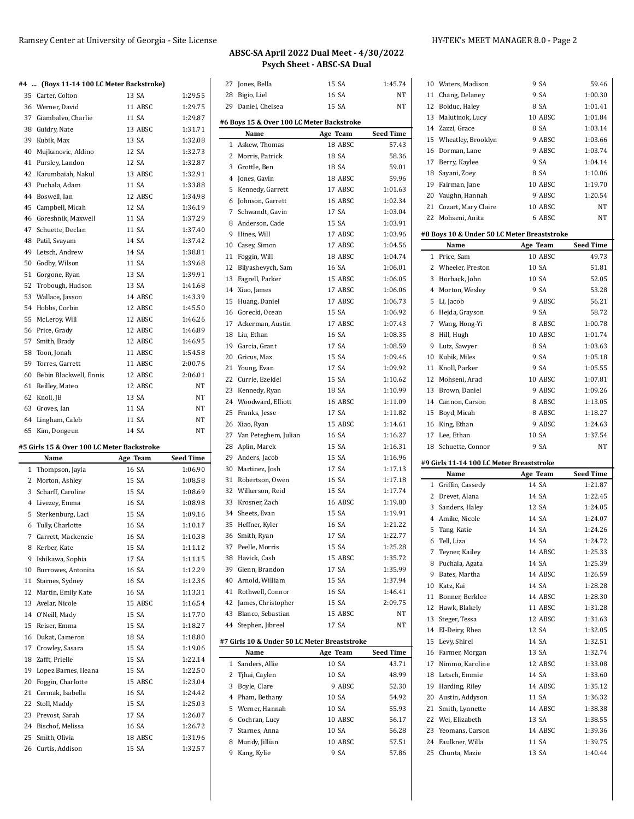### **#4 ... (Boys 11-14 100 LC Meter Backstroke)**

| #4       | (DOYS 11-14 TOO LC METER DACKSTIOKE)        |                |                    |
|----------|---------------------------------------------|----------------|--------------------|
|          | 35 Carter, Colton                           | 13 SA          | 1:29.55            |
|          | 36 Werner, David                            | 11 ABSC        | 1:29.75            |
|          | 37 Giambalvo, Charlie                       | 11 SA          | 1:29.87            |
|          | 38 Guidry, Nate                             | 13 ABSC        | 1:31.71            |
|          | 39 Kubik, Max                               | 13 SA          | 1:32.08            |
|          | 40 Mujkanovic, Aldino                       | 12 SA          | 1:32.73            |
| 41       | Pursley, Landon                             | 12 SA          | 1:32.87            |
|          | 42 Karumbaiah, Nakul                        | 13 ABSC        | 1:32.91            |
|          | 43 Puchala, Adam                            | 11 SA          | 1:33.88            |
|          | 44 Boswell, Ian                             | 12 ABSC        | 1:34.98            |
|          | 45 Campbell, Micah                          | 12 SA          | 1:36.19            |
|          | 46 Goreshnik, Maxwell                       | 11 SA          | 1:37.29            |
|          | 47 Schuette, Declan                         | 11 SA          | 1:37.40            |
|          | 48 Patil, Svayam                            | 14 SA          | 1:37.42            |
|          |                                             |                |                    |
|          | 49 Letsch, Andrew                           | 14 SA<br>11 SA | 1:38.81<br>1:39.68 |
|          | 50 Godby, Wilson                            |                |                    |
|          | 51 Gorgone, Ryan                            | 13 SA          | 1:39.91            |
|          | 52 Trobough, Hudson                         | 13 SA          | 1:41.68            |
|          | 53 Wallace, Jaxson                          | 14 ABSC        | 1:43.39            |
|          | 54 Hobbs, Corbin                            | 12 ABSC        | 1:45.50            |
| 55       | McLeroy, Will                               | 12 ABSC        | 1:46.26            |
|          | 56 Price, Grady                             | 12 ABSC        | 1:46.89            |
|          | 57 Smith, Brady                             | 12 ABSC        | 1:46.95            |
|          | 58 Toon, Jonah                              | 11 ABSC        | 1:54.58            |
|          | 59 Torres, Garrett                          | 11 ABSC        | 2:00.76            |
|          | 60 Bebin Blackwell, Ennis                   | 12 ABSC        | 2:06.01            |
| 61       | Reilley, Mateo                              | 12 ABSC        | NT                 |
|          | 62 Knoll, JB                                | 13 SA          | NΤ                 |
|          |                                             |                |                    |
|          | 63 Groves, Ian                              | 11 SA          | NT                 |
|          | 64 Lingham, Caleb                           | 11 SA          | NT                 |
| 65       | Kim, Dongeun                                | 14 SA          | NT                 |
|          | #5 Girls 15 & Over 100 LC Meter Backstroke  |                |                    |
|          | Name                                        | Age Team       | Seed Time          |
| 1        | Thompson, Jayla                             | 16 SA          | 1:06.90            |
|          | 2 Morton, Ashley                            | 15 SA          | 1:08.58            |
|          | 3 Scharff, Caroline                         | 15 SA          | 1:08.69            |
|          | 4 Livezey, Emma                             | 16 SA          | 1:08.98            |
|          | 5 Sterkenburg, Laci                         | 15 SA          | 1:09.16            |
|          | 6 Tully, Charlotte                          | 16 SA          | 1:10.17            |
|          | 7 Garrett, Mackenzie                        | 16 SA          | 1:10.38            |
|          |                                             | 15 SA          | 1:11.12            |
|          | 8 Kerber, Kate                              | 17 SA          | 1:11.15            |
|          | 9 Ishikawa, Sophia                          |                |                    |
|          | 10 Burrowes, Antonita<br>11 Starnes, Sydney | 16 SA<br>16 SA | 1:12.29<br>1:12.36 |
|          | 12 Martin, Emily Kate                       | 16 SA          | 1:13.31            |
|          |                                             |                | 1:16.54            |
|          | 13 Avelar, Nicole                           | 15 ABSC        |                    |
|          | 14 O'Neill, Mady                            | 15 SA          | 1:17.70            |
|          | 15 Reiser, Emma                             | 15 SA          | 1:18.27            |
|          | 16 Dukat, Cameron                           | 18 SA          | 1:18.80<br>1:19.06 |
|          | 17 Crowley, Sasara                          | 15 SA<br>15 SA | 1:22.14            |
| 18<br>19 | Zafft, Prielle                              | 15 SA          | 1:22.50            |
|          | Lopez Barnes, Ileana                        |                |                    |
| 20       | Foggin, Charlotte                           | 15 ABSC        | 1:23.04            |
|          | 21 Cermak, Isabella                         | 16 SA<br>15 SA | 1:24.42<br>1:25.03 |
|          | 22 Stoll, Maddy                             | 17 SA          | 1:26.07            |
|          | 23 Prevost, Sarah<br>24 Bischof, Melissa    | 16 SA          | 1:26.72            |

Curtis, Addison 15 SA 1:32.57

| 27 | Jones, Bella                                 | 15 SA    | 1:45.74          |
|----|----------------------------------------------|----------|------------------|
| 28 | Bigio, Liel                                  | 16 SA    | NΤ               |
| 29 | Daniel, Chelsea                              | 15 SA    | NT               |
|    |                                              |          |                  |
|    | #6 Boys 15 & Over 100 LC Meter Backstroke    |          |                  |
|    | Name                                         | Age Team | <b>Seed Time</b> |
| 1  | Askew, Thomas                                | 18 ABSC  | 57.43            |
| 2  | Morris, Patrick                              | 18 SA    | 58.36            |
| 3  | Grottle, Ben                                 | 18 SA    | 59.01            |
| 4  | Jones, Gavin                                 | 18 ABSC  | 59.96            |
| 5  | Kennedy, Garrett                             | 17 ABSC  | 1:01.63          |
| 6  | Johnson, Garrett                             | 16 ABSC  | 1:02.34          |
| 7  | Schwandt, Gavin                              | 17 SA    | 1:03.04          |
| 8  | Anderson, Cade                               | 15 SA    | 1:03.91          |
| 9  | Hines, Will                                  | 17 ABSC  | 1:03.96          |
| 10 | Casey, Simon                                 | 17 ABSC  | 1:04.56          |
| 11 | Foggin, Will                                 | 18 ABSC  | 1:04.74          |
| 12 | Bilyashevych, Sam                            | 16 SA    | 1:06.01          |
| 13 | Fagrell, Parker                              | 15 ABSC  | 1:06.05          |
| 14 | Xiao, James                                  | 17 ABSC  | 1:06.06          |
| 15 | Huang, Daniel                                | 17 ABSC  | 1:06.73          |
| 16 | Gorecki, Ocean                               | 15 SA    | 1:06.92          |
|    | 17 Ackerman, Austin                          | 17 ABSC  | 1:07.43          |
| 18 | Liu, Ethan                                   | 16 SA    | 1:08.35          |
|    |                                              | 17 SA    | 1:08.59          |
| 19 | Garcia, Grant<br>Gricus. Max                 | 15 SA    |                  |
| 20 |                                              |          | 1:09.46          |
| 21 | Young, Evan                                  | 17 SA    | 1:09.92          |
| 22 | Currie, Ezekiel                              | 15 SA    | 1:10.62          |
| 23 | Kennedy, Ryan                                | 18 SA    | 1:10.99          |
|    | 24 Woodward, Elliott                         | 16 ABSC  | 1:11.09          |
| 25 | Franks, Jesse                                | 17 SA    | 1:11.82          |
| 26 | Xiao, Ryan                                   | 15 ABSC  | 1:14.61          |
|    | 27 Van Peteghem, Julian                      | 16 SA    | 1:16.27          |
| 28 | Aplin, Marek                                 | 15 SA    | 1:16.31          |
| 29 | Anders, Jacob                                | 15 SA    | 1:16.96          |
|    | 30 Martinez, Josh                            | 17 SA    | 1:17.13          |
| 31 | Robertson, Owen                              | 16 SA    | 1:17.18          |
| 32 | Wilkerson, Reid                              | 15 SA    | 1:17.74          |
| 33 | Krosner, Zach                                | 16 ABSC  | 1:19.80          |
| 34 | Sheets, Evan                                 | 15 SA    | 1:19.91          |
| 35 | Heffner, Kyler                               | 16 SA    | 1:21.22          |
| 36 | Smith, Ryan                                  | 17 SA    | 1:22.77          |
| 37 | Peelle, Morris                               | 15 SA    | 1:25.28          |
| 38 | Havick, Cash                                 | 15 ABSC  | 1:35.72          |
| 39 | Glenn, Brandon                               | 17 SA    | 1:35.99          |
| 40 | Arnold, William                              | 15 SA    | 1:37.94          |
| 41 | Rothwell, Connor                             | 16 SA    | 1:46.41          |
|    |                                              |          |                  |
| 42 | James, Christopher                           | 15 SA    | 2:09.75          |
| 43 | Blanco, Sebastian                            | 15 ABSC  | NΤ               |
| 44 | Stephen, Jibreel                             | 17 SA    | NT               |
|    | #7 Girls 10 & Under 50 LC Meter Breaststroke |          |                  |
|    | Name                                         | Age Team | <b>Seed Time</b> |
| 1  | Sanders, Allie                               | 10 SA    | 43.71            |
| 2  | Tjhai, Caylen                                | 10 SA    | 48.99            |
| 3  | Boyle, Clare                                 | 9 ABSC   | 52.30            |
| 4  | Pham, Bethany                                | 10 SA    | 54.92            |
| 5  | Werner, Hannah                               | 10 SA    | 55.93            |
| 6  | Cochran, Lucy                                | 10 ABSC  | 56.17            |
| 7  |                                              | 10 SA    |                  |
|    | Starnes, Anna                                |          | 56.28            |
| 8  | Mundy, Jillian<br>Kang, Kylie                | 10 ABSC  | 57.51            |
| 9  |                                              | 9 SA     | 57.86            |

|              | 10 Waters, Madison                          | 9 SA              | 59.46            |
|--------------|---------------------------------------------|-------------------|------------------|
|              | 11 Chang, Delaney                           | 9 SA              | 1:00.30          |
|              | 12 Bolduc, Haley                            | 8 SA              | 1:01.41          |
| 13           | Malutinok, Lucy                             | 10 ABSC           | 1:01.84          |
|              | 14 Zazzi, Grace                             | 8 SA              | 1:03.14          |
|              | 15 Wheatley, Brooklyn                       | 9 ABSC            | 1:03.66          |
|              | 16 Dorman, Lane                             | 9 ABSC            | 1:03.74          |
| 17           |                                             | 9 SA              | 1:04.14          |
|              | Berry, Kaylee                               | 8 SA              |                  |
| 18           | Sayani, Zoey                                |                   | 1:10.06          |
| 19           | Fairman, Jane                               | 10 ABSC<br>9 ABSC | 1:19.70          |
|              | 20 Vaughn, Hannah                           | 10 ABSC           | 1:20.54<br>NT    |
|              | 21 Cozart, Mary Claire                      | 6 ABSC            | NΤ               |
|              | 22 Mohseni, Anita                           |                   |                  |
|              | #8 Boys 10 & Under 50 LC Meter Breaststroke |                   |                  |
|              | Name                                        | Age Team          | <b>Seed Time</b> |
| 1            | Price, Sam                                  | 10 ABSC           | 49.73            |
| 2            | Wheeler, Preston                            | 10 SA             | 51.81            |
| 3            | Horback, John                               | 10 SA             | 52.05            |
|              | 4 Morton, Wesley                            | 9 SA              | 53.28            |
| 5            | Li, Jacob                                   | 9 ABSC            | 56.21            |
| 6            | Hejda, Grayson                              | 9 SA              | 58.72            |
|              | 7 Wang, Hong-Yi                             | 8 ABSC            | 1:00.78          |
| 8            | Hill, Hugh                                  | 10 ABSC           | 1:01.74          |
| 9            | Lutz, Sawyer                                | 8 SA              | 1:03.63          |
|              | 10 Kubik, Miles                             | 9 SA              | 1:05.18          |
|              | 11 Knoll, Parker                            | 9 SA              | 1:05.55          |
|              | 12 Mohseni, Arad                            | 10 ABSC           | 1:07.81          |
| 13           | Brown, Daniel                               | 9 ABSC            | 1:09.26          |
|              | 14 Cannon, Carson                           | 8 ABSC            | 1:13.05          |
|              | 15 Boyd, Micah                              | 8 ABSC            | 1:18.27          |
|              | 16 King, Ethan                              | 9 ABSC            | 1:24.63          |
|              |                                             |                   |                  |
|              | 17 Lee, Ethan                               | 10 SA             | 1:37.54          |
| 18           | Schuette, Connor                            | 9 SA              | NΤ               |
|              |                                             |                   |                  |
|              | #9 Girls 11-14 100 LC Meter Breaststroke    |                   |                  |
|              | Name                                        | Age Team          | Seed Time        |
| $\mathbf{1}$ | Griffin, Cassedy                            | 14 SA             | 1:21.87          |
| 2            | Drevet, Alana                               | 14 SA             | 1:22.45          |
| 3            | Sanders, Haley                              | 12 SA             | 1:24.05          |
|              | 4 Amike, Nicole                             | 14 SA             | 1:24.07          |
| 5            | Tang, Katie                                 | 14 SA             | 1:24.26          |
| 6            | Tell, Liza                                  | 14 SA             | 1:24.72          |
|              | 7 Teyner, Kailey                            | 14 ABSC           | 1:25.33          |
|              | 8 Puchala, Agata                            | 14 SA             | 1:25.39          |
|              | 9 Bates, Martha                             | 14 ABSC           | 1:26.59          |
|              | 10 Katz, Kai                                | 14 SA             | 1:28.28          |
|              | 11 Bonner, Berklee                          | 14 ABSC           | 1:28.30          |
|              | 12 Hawk, Blakely                            | 11 ABSC           | 1:31.28          |
| 13           | Steger, Tessa                               | 12 ABSC           | 1:31.63          |
|              | 14 El-Deiry, Rhea                           | 12 SA             | 1:32.05          |
|              | 15 Levy, Shirel                             | 14 SA             | 1:32.51          |
|              | 16 Farmer, Morgan                           | 13 SA             | 1:32.74          |
| 17           | Nimmo, Karoline                             | 12 ABSC           | 1:33.08          |
|              | 18 Letsch, Emmie                            | 14 SA             | 1:33.60          |
|              | 19 Harding, Riley                           | 14 ABSC           | 1:35.12          |
|              | 20 Austin, Addyson                          | 11 SA             | 1:36.32          |
|              | 21 Smith, Lynnette                          | 14 ABSC           | 1:38.38          |
|              | 22 Wei, Elizabeth                           | 13 SA             | 1:38.55          |
|              | 23 Yeomans, Carson                          | 14 ABSC           | 1:39.36          |
|              | 24 Faulkner, Willa                          | 11 SA             | 1:39.75          |
|              | 25 Chunta, Mazie                            | 13 SA             | 1:40.44          |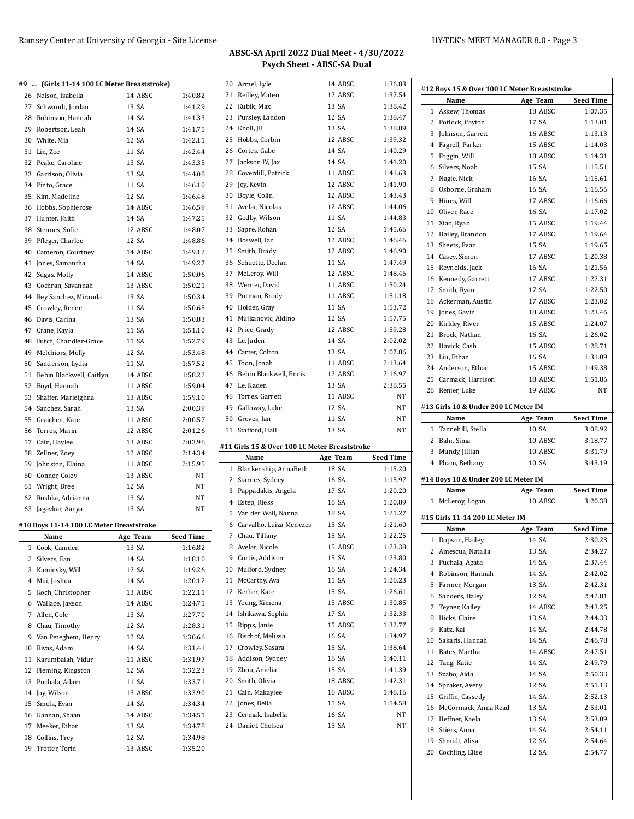$\overline{1}$ 

# **ABSC-SA April 2022 Dual Meet - 4/30/2022 Psych Sheet - ABSC-SA Dual**

### **#12 Boys 15 & Over 100 LC Meter Breaststroke**

|              | #9  (Girls 11-14 100 LC Meter Breaststroke) |          |                  |
|--------------|---------------------------------------------|----------|------------------|
|              | 26 Nelson, Isabella                         | 14 ABSC  | 1:40.82          |
|              | 27 Schwandt, Jordan                         | 13 SA    | 1:41.29          |
|              | 28 Robinson, Hannah                         | 14 SA    | 1:41.33          |
|              | 29 Robertson, Leah                          | 14 SA    | 1:41.75          |
|              | 30 White, Mia                               | 12 SA    | 1:42.11          |
|              | 31 Lin. Zoe                                 | 11 SA    | 1:42.44          |
|              | 32 Peake, Caroline                          | 13 SA    | 1:43.35          |
|              | 33 Garrison, Olivia                         | 13 SA    | 1:44.08          |
|              | 34 Pinto, Grace                             | 11 SA    | 1:46.10          |
| 35           | Kim, Madeline                               | 12 SA    | 1:46.48          |
|              | 36 Hobbs, Sophierose                        | 14 ABSC  | 1:46.59          |
|              | 37 Hunter, Faith                            | 14 SA    | 1:47.25          |
|              | 38 Stennes, Sofie                           | 12 ABSC  | 1:48.07          |
|              | 39 Pfleger, Charlee                         | 12 SA    | 1:48.86          |
|              | 40 Cameron, Courtney                        | 14 ABSC  | 1:49.12          |
|              | 41 Jones, Samantha                          | 14 SA    | 1:49.27          |
| 42           | Suggs, Molly                                | 14 ABSC  | 1:50.06          |
| 43           | Cochran, Savannah                           | 13 ABSC  | 1:50.21          |
|              | 44 Rey Sanchez, Miranda                     | 13 SA    | 1:50.34          |
|              | 45 Crowley, Renee                           | 11 SA    | 1:50.65          |
|              | 46 Davis, Carina                            | 13 SA    | 1:50.83          |
| 47           | Crane, Kayla                                | 11 SA    | 1:51.10          |
|              | 48 Futch, Chandler-Grace                    | 11 SA    | 1:52.79          |
|              | 49 Melchiors, Molly                         | 12 SA    | 1:53.48          |
|              | 50 Sanderson, Lydia                         | 11 SA    | 1:57.52          |
| 51           | Bebin Blackwell, Caitlyn                    | 14 ABSC  | 1:58.22          |
|              | 52 Boyd, Hannah                             | 11 ABSC  | 1:59.04          |
| 53           | Shaffer, Marleighna                         | 13 ABSC  | 1:59.10          |
|              | 54 Sanchez, Sarah                           | 13 SA    | 2:00.39          |
| 55           | Graichen, Kate                              | 11 ABSC  | 2:00.57          |
|              | 56 Torres, Marin                            | 12 ABSC  | 2:01.26          |
| 57           | Cain, Haylee                                | 13 ABSC  | 2:03.96          |
|              | 58 Zellner, Zoey                            | 12 ABSC  | 2:14.34          |
|              | 59 Johnston, Elaina                         | 11 ABSC  | 2:15.95          |
|              |                                             | 13 ABSC  | NT               |
|              | 60 Conner, Coley<br>61 Wright, Bree         | 12 SA    | NT               |
|              | 62 Roshka, Adrianna                         | 13 SA    | NT               |
|              |                                             | 13 SA    | NT               |
|              | 63 Jagavkar, Aanya                          |          |                  |
|              | #10 Boys 11-14 100 LC Meter Breaststroke    |          |                  |
|              | Name                                        | Age Team | <b>Seed Time</b> |
| 1            | Cook, Camden                                | 13 SA    | 1:16.82          |
| $\mathbf{2}$ | Silvers, Ean                                | 14 SA    | 1:18.10          |
|              | 3 Kaminsky, Will                            | 12 SA    | 1:19.26          |
|              | 4 Mui, Joshua                               | 14 SA    | 1:20.12          |
|              | 5 Koch, Christopher                         | 13 ABSC  | 1:22.11          |
|              | 6 Wallace, Jaxson                           | 14 ABSC  | 1:24.71          |
|              | 7 Allen, Cole                               | 13 SA    | 1:27.70          |
|              | 8 Chau, Timothy                             | 12 SA    | 1:28.31          |
|              |                                             | 12 SA    | 1:30.66          |
|              | 9 Van Peteghem, Henry                       |          |                  |
|              | 10 Rivas, Adam                              | 14 SA    | 1:31.41          |
|              | 11 Karumbaiah, Vidur                        | 11 ABSC  | 1:31.97          |
| 12           | Fleming, Kingston                           | 12 SA    | 1:32.23          |
|              | 13 Puchala, Adam                            | 11 SA    | 1:33.71          |
|              | 14 Joy, Wilson                              | 13 ABSC  | 1:33.90          |
|              | 15 Smola, Evan                              | 14 SA    | 1:34.34          |
|              | 16 Kannan, Shaan                            | 14 ABSC  | 1:34.51          |
|              | 17 Meeker, Ethan                            | 13 SA    | 1:34.78          |
|              | 18 Collins, Trey                            | 12 SA    | 1:34.98          |

|              | 20 Armel, Lyle                                | 14 ABSC  | 1:36.83          |
|--------------|-----------------------------------------------|----------|------------------|
| 21           | Reilley, Mateo                                | 12 ABSC  | 1:37.54          |
|              | 22 Kubik, Max                                 | 13 SA    | 1:38.42          |
|              | 23 Pursley, Landon                            | 12 SA    | 1:38.47          |
|              | 24 Knoll, JB                                  | 13 SA    | 1:38.89          |
|              | 25 Hobbs, Corbin                              | 12 ABSC  | 1:39.32          |
|              | 26 Cortes, Gabe                               | 14 SA    | 1:40.29          |
|              | 27 Jackson IV, Jax                            | 14 SA    | 1:41.20          |
|              | 28 Coverdill, Patrick                         | 11 ABSC  | 1:41.63          |
| 29           | Joy, Kevin                                    | 12 ABSC  | 1:41.90          |
|              | 30 Boyle, Colin                               | 12 ABSC  | 1:43.43          |
| 31           | Avelar, Nicolas                               | 12 ABSC  | 1:44.06          |
|              | 32 Godby, Wilson                              | 11 SA    |                  |
|              |                                               |          | 1:44.83          |
|              | 33 Sapre, Rohan                               | 12 SA    | 1:45.66          |
|              | 34 Boswell, Ian                               | 12 ABSC  | 1:46.46          |
|              | 35 Smith, Brady                               | 12 ABSC  | 1:46.90          |
|              | 36 Schuette, Declan                           | 11 SA    | 1:47.49          |
|              | 37 McLeroy, Will                              | 12 ABSC  | 1:48.46          |
|              | 38 Werner, David                              | 11 ABSC  | 1:50.24          |
|              | 39 Putman, Brody                              | 11 ABSC  | 1:51.18          |
|              | 40 Holder, Gray                               | 11 SA    | 1:53.72          |
| 41           | Mujkanovic, Aldino                            | 12 SA    | 1:57.75          |
|              | 42 Price, Grady                               | 12 ABSC  | 1:59.28          |
|              | 43 Le, Jaden                                  | 14 SA    | 2:02.02          |
|              | 44 Carter, Colton                             | 13 SA    | 2:07.86          |
|              | 45 Toon, Jonah                                | 11 ABSC  | 2:13.64          |
|              | 46 Bebin Blackwell, Ennis                     | 12 ABSC  | 2:16.97          |
|              | 47 Le, Kaden                                  | 13 SA    | 2:38.55          |
| 48           | Torres, Garrett                               | 11 ABSC  | NΤ               |
|              | 49 Galloway, Luke                             | 12 SA    | NΤ               |
|              |                                               |          |                  |
|              |                                               |          |                  |
|              | 50 Groves, Ian                                | 11 SA    | NΤ               |
| 51           | Stafford, Hall                                | 13 SA    | NT               |
|              | #11 Girls 15 & Over 100 LC Meter Breaststroke |          |                  |
|              | Name                                          | Age Team | <b>Seed Time</b> |
| $\mathbf{1}$ | Blankenship, AnnaBeth                         | 18 SA    | 1:15.20          |
|              | 2 Starnes, Sydney                             | 16 SA    | 1:15.97          |
|              | 3 Pappadakis, Angela                          | 17 SA    | 1:20.20          |
|              | 4 Estep, Riess                                | 16 SA    | 1:20.89          |
|              | 5 Van der Wall, Nanna                         | 18 SA    | 1:21.27          |
|              | 6 Carvalho, Luiza Menezes                     | 15 SA    | 1:21.60          |
| 7            | Chau, Tiffany                                 | 15 SA    | 1:22.25          |
|              | 8 Avelar, Nicole                              | 15 ABSC  | 1:23.38          |
|              | 9 Curtis, Addison                             | 15 SA    | 1:23.80          |
|              | 10 Mulford, Sydney                            | 16 SA    | 1:24.34          |
|              | 11 McCarthy, Ava                              | 15 SA    | 1:26.23          |
|              | 12 Kerber, Kate                               | 15 SA    | 1:26.61          |
|              |                                               | 15 ABSC  | 1:30.85          |
|              | 13 Young, Ximena                              |          |                  |
|              | 14 Ishikawa, Sophia                           | 17 SA    | 1:32.33          |
| 15           | Ripps, Janie                                  | 15 ABSC  | 1:32.77          |
|              | 16 Bischof, Melissa                           | 16 SA    | 1:34.97          |
| 17           | Crowley, Sasara                               | 15 SA    | 1:38.64          |
|              | 18 Addison, Sydney                            | 16 SA    | 1:40.11          |
| 19           | Zhou, Amelia                                  | 15 SA    | 1:41.39          |
|              | 20 Smith, Olivia                              | 18 ABSC  | 1:42.31          |
|              | 21 Cain, Makaylee                             | 16 ABSC  | 1:48.16          |
|              | 22 Jones, Bella                               | 15 SA    | 1:54.58          |
|              | 23 Cermak, Isabella                           | 16 SA    | NΤ               |
|              | 24 Daniel, Chelsea                            | 15 SA    | NΤ               |

|    | Name                                    | Age Team          | <b>Seed Time</b> |
|----|-----------------------------------------|-------------------|------------------|
| 1  | Askew, Thomas                           | 18 ABSC           | 1:07.35          |
| 2  | Potlock, Payton                         | 17 SA             | 1:13.01          |
| 3  | Johnson, Garrett                        | 16 ABSC           | 1:13.13          |
| 4  | Fagrell, Parker                         | 15 ABSC           | 1:14.03          |
| 5  | Foggin, Will                            | 18 ABSC           | 1:14.31          |
| 6  | Silvers, Noah                           | 15 SA             | 1:15.51          |
| 7  | Nagle, Nick                             | 16 SA             | 1:15.61          |
| 8  | Osborne, Graham                         | 16 SA             | 1:16.56          |
| 9  | Hines, Will                             | 17 ABSC           | 1:16.66          |
| 10 | Oliver, Race                            | 16 SA             | 1:17.02          |
| 11 | Xiao, Ryan                              | 15 ABSC           | 1:19.44          |
| 12 | Hailey, Brandon                         | 17 ABSC           | 1:19.64          |
| 13 | Sheets, Evan                            | 15 SA             | 1:19.65          |
|    | 14 Casey, Simon                         | 17 ABSC           | 1:20.38          |
| 15 |                                         | 16 SA             | 1:21.56          |
|    | Reynolds, Jack                          |                   |                  |
|    | 16 Kennedy, Garrett                     | 17 ABSC           | 1:22.31          |
|    | 17 Smith, Ryan                          | 17 SA             | 1:22.50          |
| 18 | Ackerman, Austin                        | 17 ABSC           | 1:23.02          |
| 19 | Jones, Gavin                            | 18 ABSC           | 1:23.46          |
|    | 20 Kirkley, River                       | 15 ABSC           | 1:24.07          |
| 21 | Brock, Nathan                           | 16 SA             | 1:26.02          |
|    | 22 Havick, Cash                         | 15 ABSC           | 1:28.71          |
| 23 | Liu, Ethan                              | 16 SA             | 1:31.09          |
|    | 24 Anderson, Ethan                      | 15 ABSC           | 1:49.38          |
| 25 | Carmack, Harrison                       | 18 ABSC           | 1:51.86          |
|    | 26 Renier, Luke                         | 19 ABSC           | NT               |
|    | #13 Girls 10 & Under 200 LC Meter IM    |                   |                  |
|    | Name                                    | Age Team          | <b>Seed Time</b> |
| 1  | Tannehill, Stella                       | 10 SA             | 3:08.92          |
|    | 2 Bahr, Sima                            | 10 ABSC           | 3:18.77          |
| 3  | Mundy, Jillian                          | 10 ABSC           | 3:31.79          |
|    | 4 Pham, Bethany                         | 10 SA             | 3:43.19          |
|    | #14 Boys 10 & Under 200 LC Meter IM     |                   |                  |
|    | Name                                    | Age Team          | <b>Seed Time</b> |
| 1  | McLeroy, Logan                          | 10 ABSC           | 3:20.38          |
|    |                                         |                   |                  |
|    | #15 Girls 11-14 200 LC Meter IM<br>Name |                   | <b>Seed Time</b> |
| 1  |                                         | Age Team<br>14 SA | 2:30.23          |
|    | Dopson, Hailey                          |                   |                  |
| 2  |                                         |                   |                  |
| 3  | Amescua, Natalia                        | 13 SA             | 2:34.27          |
|    | Puchala, Agata                          | 14 SA             | 2:37.44          |
| 4  | Robinson, Hannah                        | 14 SA             | 2:42.02          |
| 5  | Farmer, Morgan                          | 13 SA             | 2:42.31          |
| 6  | Sanders, Haley                          | 12 SA             | 2:42.81          |
| 7  | Teyner, Kailey                          | 14 ABSC           | 2:43.25          |
| 8  | Hicks, Claire                           | 13 SA             | 2:44.33          |
| 9  | Katz, Kai                               | 14 SA             | 2:44.78          |
| 10 | Sakaris, Hannah                         | 14 SA             | 2:46.78          |
| 11 | Bates, Martha                           | 14 ABSC           | 2:47.51          |
|    | 12 Tang, Katie                          | 14 SA             | 2:49.79          |
|    | 13 Szabo, Aida                          | 14 SA             | 2:50.33          |
| 14 | Spraker, Avery                          | 12 SA             | 2:51.13          |
|    | 15 Griffin, Cassedy                     | 14 SA             | 2:52.13          |
| 16 | McCormack, Anna Read                    | 13 SA             | 2:53.01          |
|    | 17 Heffner, Kaela                       | 13 SA             | 2:53.09          |
|    | 18 Stiers, Anna                         | 14 SA             | 2:54.11          |
| 19 | Shmidt, Alisa                           | 12 SA             | 2:54.64          |
|    | 20 Cochling, Elise                      | 12 SA             | 2:54.77          |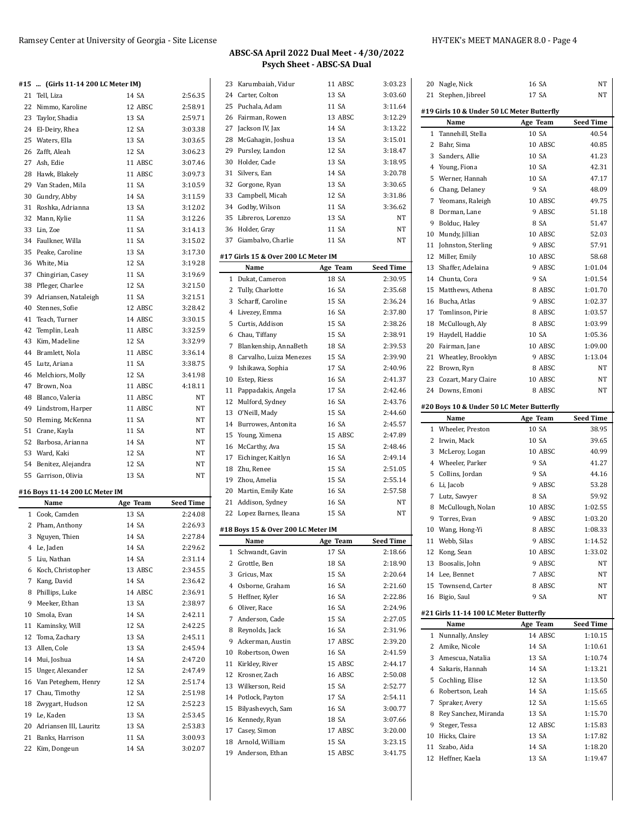| 23     | Karumbaiah. Vidur                   | 11 ABSC           | 3:03.23            |
|--------|-------------------------------------|-------------------|--------------------|
|        | 24 Carter, Colton                   | 13 SA             | 3:03.60            |
|        | 25 Puchala, Adam                    | 11 SA             | 3:11.64            |
|        | 26 Fairman, Rowen                   | 13 ABSC           | 3:12.29            |
| 27     | Jackson IV, Jax                     | 14 SA             | 3:13.22            |
| 28     | McGahagin, Joshua                   | 13 SA             | 3:15.01            |
| 29     | Pursley, Landon                     | 12 SA             | 3:18.47            |
|        | 30 Holder, Cade                     | 13 SA             | 3:18.95            |
|        | 31 Silvers, Ean                     | 14 SA             | 3:20.78            |
|        | 32 Gorgone, Ryan                    | 13 SA             | 3:30.65            |
| 33     | Campbell, Micah                     | 12 SA             | 3:31.86            |
|        | 34 Godby, Wilson                    | 11 SA             | 3:36.62            |
|        | 35 Libreros, Lorenzo                | 13 SA             | NT                 |
|        | 36 Holder, Gray                     | 11 SA             | NT                 |
|        | 37 Giambalvo, Charlie               | 11 SA             | NT                 |
|        |                                     |                   |                    |
|        | #17 Girls 15 & Over 200 LC Meter IM |                   |                    |
|        | Name                                | Age Team<br>18 SA | <b>Seed Time</b>   |
| 1<br>2 | Dukat, Cameron                      | 16 SA             | 2:30.95<br>2:35.68 |
|        | Tully, Charlotte                    |                   |                    |
| 3      | Scharff, Caroline                   | 15 SA             | 2:36.24            |
|        | 4 Livezey, Emma                     | 16 SA             | 2:37.80            |
| 5.     | Curtis, Addison                     | 15 SA             | 2:38.26            |
|        | 6 Chau, Tiffany                     | 15 SA             | 2:38.91            |
| 7      | Blankenship, AnnaBeth               | 18 SA             | 2:39.53            |
| 8      | Carvalho, Luiza Menezes             | 15 SA             | 2:39.90            |
| 9      | Ishikawa, Sophia                    | 17 SA             | 2:40.96            |
|        | 10 Estep, Riess                     | 16 SA             | 2:41.37            |
|        | 11 Pappadakis, Angela               | 17 SA             | 2:42.46            |
| 12     | Mulford, Sydney                     | 16 SA             | 2:43.76            |
| 13     | O'Neill, Mady                       | 15 SA             | 2:44.60            |
|        | 14 Burrowes, Antonita               | 16 SA             | 2:45.57            |
|        | 15 Young, Ximena                    | 15 ABSC           | 2:47.89            |
|        | 16 McCarthy, Ava                    | 15 SA             | 2:48.46            |
| 17     | Eichinger, Kaitlyn                  | 16 SA             | 2:49.14            |
| 18     | Zhu, Renee                          | 15 SA             | 2:51.05            |
|        | 19 Zhou, Amelia                     | 15 SA             | 2:55.14            |
|        | 20 Martin, Emily Kate               | 16 SA             | 2:57.58            |
|        | 21 Addison, Sydney                  | 16 SA             | NT                 |
|        | 22 Lopez Barnes, Ileana             | 15 SA             | NT                 |
|        | #18 Boys 15 & Over 200 LC Meter IM  |                   |                    |
|        | Name                                | Age Team          | Seed Time          |
|        | 1 Schwandt, Gavin                   | 17 SA             | 2:18.66            |
|        | 2 Grottle, Ben                      | 18 SA             | 2:18.90            |
| 3      | Gricus, Max                         | 15 SA             | 2:20.64            |
|        | 4 Osborne, Graham                   | 16 SA             | 2:21.60            |
|        | 5 Heffner, Kyler                    | 16 SA             | 2:22.86            |
|        | 6 Oliver, Race                      | 16 SA             | 2:24.96            |
|        | 7 Anderson, Cade                    | 15 SA             | 2:27.05            |
|        | 8 Reynolds, Jack                    | 16 SA             | 2:31.96            |
| 9      | Ackerman, Austin                    | 17 ABSC           | 2:39.20            |
|        | 10 Robertson, Owen                  | 16 SA             | 2:41.59            |
|        | 11 Kirkley, River                   | 15 ABSC           | 2:44.17            |
|        | 12 Krosner, Zach                    | 16 ABSC           | 2:50.08            |
| 13     | Wilkerson, Reid                     | 15 SA             | 2:52.77            |
|        | 14 Potlock, Payton                  | 17 SA             | 2:54.11            |
|        | 15 Bilyashevych, Sam                | 16 SA             | 3:00.77            |
|        | 16 Kennedy, Ryan                    | 18 SA             | 3:07.66            |
|        | 17 Casey, Simon                     | 17 ABSC           | 3:20.00            |
|        | 18 Arnold, William                  | 15 SA             | 3:23.15            |
|        | 19 Anderson, Ethan                  | 15 ABSC           | 3:41.75            |

|              | 20 Nagle, Nick                             | 16 SA          | NT                 |
|--------------|--------------------------------------------|----------------|--------------------|
| 21           | Stephen, Jibreel                           | 17 SA          | NT                 |
|              |                                            |                |                    |
|              | #19 Girls 10 & Under 50 LC Meter Butterfly |                |                    |
|              | Name                                       | Age Team       | <b>Seed Time</b>   |
| $\mathbf{1}$ | Tannehill, Stella                          | 10 SA          | 40.54              |
|              | 2 Bahr, Sima                               | 10 ABSC        | 40.85              |
|              | 3 Sanders, Allie                           | 10 SA          | 41.23              |
|              | 4 Young, Fiona                             | 10 SA          | 42.31              |
| 5            |                                            | 10 SA          |                    |
|              | Werner, Hannah                             |                | 47.17              |
|              | 6 Chang, Delaney                           | 9 SA           | 48.09              |
| 7            | Yeomans, Raleigh                           | 10 ABSC        | 49.75              |
|              | 8 Dorman, Lane                             | 9 ABSC         | 51.18              |
|              | 9 Bolduc, Haley                            | 8 SA           | 51.47              |
|              | 10 Mundy, Jillian                          | 10 ABSC        | 52.03              |
|              | 11 Johnston, Sterling                      | 9 ABSC         | 57.91              |
|              | 12 Miller, Emily                           | 10 ABSC        | 58.68              |
|              | 13 Shaffer, Adelaina                       | 9 ABSC         | 1:01.04            |
|              | 14 Chunta, Cora                            | 9 SA           | 1:01.54            |
|              | 15 Matthews, Athena                        | 8 ABSC         | 1:01.70            |
|              | 16 Bucha, Atlas                            | 9 ABSC         | 1:02.37            |
|              | 17 Tomlinson, Pirie                        | 8 ABSC         | 1:03.57            |
|              | 18 McCullough, Aly                         | 8 ABSC         | 1:03.99            |
|              | 19 Haydell, Haddie                         | 10 SA          | 1:05.36            |
|              |                                            | 10 ABSC        |                    |
|              | 20 Fairman, Jane                           |                | 1:09.00            |
|              | 21 Wheatley, Brooklyn                      | 9 ABSC         | 1:13.04            |
|              | 22 Brown, Ryn                              | 8 ABSC         | NT                 |
|              | 23 Cozart, Mary Claire                     | 10 ABSC        | NT                 |
|              | 24 Downs, Emoni                            | 8 ABSC         | NT                 |
|              | #20 Boys 10 & Under 50 LC Meter Butterfly  |                |                    |
|              | Name                                       | Age Team       | <b>Seed Time</b>   |
|              | 1 Wheeler, Preston                         | 10 SA          | 38.95              |
|              | 2 Irwin, Mack                              | 10 SA          | 39.65              |
|              | 3 McLeroy, Logan                           | 10 ABSC        | 40.99              |
|              |                                            |                |                    |
|              | 4 Wheeler, Parker                          | 9 SA           | 41.27              |
|              | 5 Collins, Jordan                          | 9 SA           | 44.16              |
|              | 6 Li, Jacob                                | 9 ABSC         |                    |
|              | 7 Lutz, Sawyer                             |                | 53.28              |
|              |                                            | 8 SA           | 59.92              |
|              | 8 McCullough, Nolan                        | 10 ABSC        | 1:02.55            |
| 9            | Torres, Evan                               | 9 ABSC         | 1:03.20            |
|              | 10 Wang, Hong-Yi                           | 8 ABSC         | 1:08.33            |
|              | 11 Webb, Silas                             | 9 ABSC         | 1:14.52            |
|              | 12 Kong, Sean                              | 10 ABSC        | 1:33.02            |
|              | 13 Boosalis, John                          | 9 ABSC         | NΤ                 |
|              | 14 Lee, Bennet                             | 7 ABSC         | NΤ                 |
|              |                                            |                |                    |
|              | 15 Townsend, Carter                        | 8 ABSC<br>9 SA | NΤ                 |
|              | 16 Bigio, Saul                             |                | NΤ                 |
|              | #21 Girls 11-14 100 LC Meter Butterfly     |                |                    |
|              | Name                                       | Age Team       | <b>Seed Time</b>   |
| $\mathbf{1}$ | Nunnally, Ansley                           | 14 ABSC        | 1:10.15            |
|              | 2 Amike, Nicole                            | 14 SA          | 1:10.61            |
|              | 3 Amescua, Natalia                         | 13 SA          | 1:10.74            |
|              | 4 Sakaris, Hannah                          | 14 SA          | 1:13.21            |
|              | 5 Cochling, Elise                          | 12 SA          | 1:13.50            |
|              |                                            |                | 1:15.65            |
|              | 6 Robertson, Leah                          | 14 SA          |                    |
| 7            | Spraker, Avery                             | 12 SA          | 1:15.65            |
|              | 8 Rey Sanchez, Miranda                     | 13 SA          | 1:15.70            |
| 9            | Steger, Tessa                              | 12 ABSC        | 1:15.83            |
|              | 10 Hicks, Claire                           | 13 SA          | 1:17.82            |
|              | 11 Szabo, Aida<br>12 Heffner, Kaela        | 14 SA<br>13 SA | 1:18.20<br>1:19.47 |

# **#15 ... (Girls 11-14 200 LC Meter IM)**

| 21 | Tell, Liza                                      | 14 SA          | 2:56.35            |
|----|-------------------------------------------------|----------------|--------------------|
|    | 22 Nimmo, Karoline                              | 12 ABSC        | 2:58.91            |
|    | 23 Taylor, Shadia                               | 13 SA          | 2:59.71            |
|    | 24 El-Deiry, Rhea                               | 12 SA          | 3:03.38            |
|    | 25 Waters, Ella                                 | 13 SA          | 3:03.65            |
|    | 26 Zafft, Aleah                                 | 12 SA          | 3:06.23            |
|    | 27 Ash, Edie                                    | 11 ABSC        | 3:07.46            |
|    | 28 Hawk, Blakely                                | 11 ABSC        | 3:09.73            |
|    | 29 Van Staden, Mila                             | 11 SA          | 3:10.59            |
|    | 30 Gundry, Abby                                 | 14 SA          | 3:11.59            |
|    | 31 Roshka, Adrianna                             | 13 SA          | 3:12.02            |
|    | 32 Mann, Kylie                                  | 11 SA          | 3:12.26            |
|    | 33 Lin, Zoe                                     | 11 SA          | 3:14.13            |
|    | 34 Faulkner, Willa                              | 11 SA          | 3:15.02            |
|    | 35 Peake, Caroline                              | 13 SA          | 3:17.30            |
|    | 36 White, Mia                                   | 12 SA          | 3:19.28            |
|    | 37 Chingirian, Casey                            | 11 SA          | 3:19.69            |
|    | 38 Pfleger, Charlee                             | 12 SA          | 3:21.50            |
|    | 39 Adriansen, Nataleigh                         | 11 SA          | 3:21.51            |
|    | 40 Stennes, Sofie                               | 12 ABSC        | 3:28.42            |
|    | 41 Teach, Turner                                | 14 ABSC        | 3:30.15            |
|    | 42 Templin, Leah                                | 11 ABSC        | 3:32.59            |
|    | 43 Kim, Madeline                                | 12 SA          | 3:32.99            |
|    | 44 Bramlett, Nola                               | 11 ABSC        | 3:36.14            |
|    | 45 Lutz, Ariana                                 | 11 SA          | 3:38.75            |
|    | 46 Melchiors, Molly                             | 12 SA          | 3:41.98            |
|    | 47 Brown, Noa                                   | 11 ABSC        | 4:18.11            |
|    | 48 Blanco, Valeria                              | 11 ABSC        | NT                 |
|    | 49 Lindstrom, Harper                            | 11 ABSC        | NT                 |
|    | 50 Fleming, McKenna                             | 11 SA          | NT                 |
|    | 51 Crane, Kayla                                 | 11 SA          | NT                 |
|    | 52 Barbosa, Arianna                             | 14 SA          | NT                 |
|    | 53 Ward, Kaki                                   | 12 SA          | NT                 |
|    |                                                 |                | NT                 |
|    |                                                 |                |                    |
|    | 54 Benitez, Alejandra                           | 12 SA          |                    |
|    | 55 Garrison, Olivia                             | 13 SA          | NT                 |
|    | #16 Boys 11-14 200 LC Meter IM                  |                |                    |
|    | Name                                            | Age Team       | <b>Seed Time</b>   |
|    | 1 Cook, Camden                                  | 13 SA          | 2:24.08            |
|    | 2 Pham, Anthony                                 | 14 SA          | 2:26.93            |
|    | 3 Nguyen, Thien                                 | 14 SA          | 2:27.84            |
|    | 4 Le, Jaden                                     | 14 SA          | 2:29.62            |
| 5  | Liu, Nathan                                     | 14 SA          | 2:31.14            |
| 6  | Koch, Christopher                               | 13 ABSC        | 2:34.55            |
| 7  | Kang, David                                     | 14 SA          | 2:36.42            |
| 8  | Phillips, Luke                                  | 14 ABSC        | 2:36.91            |
| 9  | Meeker, Ethan                                   | 13 SA          | 2:38.97            |
|    | 10 Smola, Evan                                  | 14 SA          | 2:42.11            |
| 11 | Kaminsky, Will                                  | 12 SA          | 2:42.25            |
| 12 | Toma, Zachary                                   | 13 SA          | 2:45.11            |
| 13 | Allen, Cole                                     | 13 SA          | 2:45.94            |
| 14 | Mui, Joshua                                     | 14 SA          | 2:47.20            |
| 15 | Unger, Alexander                                | 12 SA          | 2:47.49            |
| 16 | Van Peteghem, Henry                             | 12 SA          | 2:51.74            |
|    | 17 Chau, Timothy                                | 12 SA          | 2:51.98            |
|    | 18 Zwygart, Hudson                              | 12 SA          | 2:52.23            |
|    | 19 Le, Kaden                                    | 13 SA          | 2:53.45            |
|    | 20 Adriansen III, Lauritz<br>21 Banks, Harrison | 13 SA<br>11 SA | 2:53.83<br>3:00.93 |

Kim, Dongeun 14 SA 3:02.07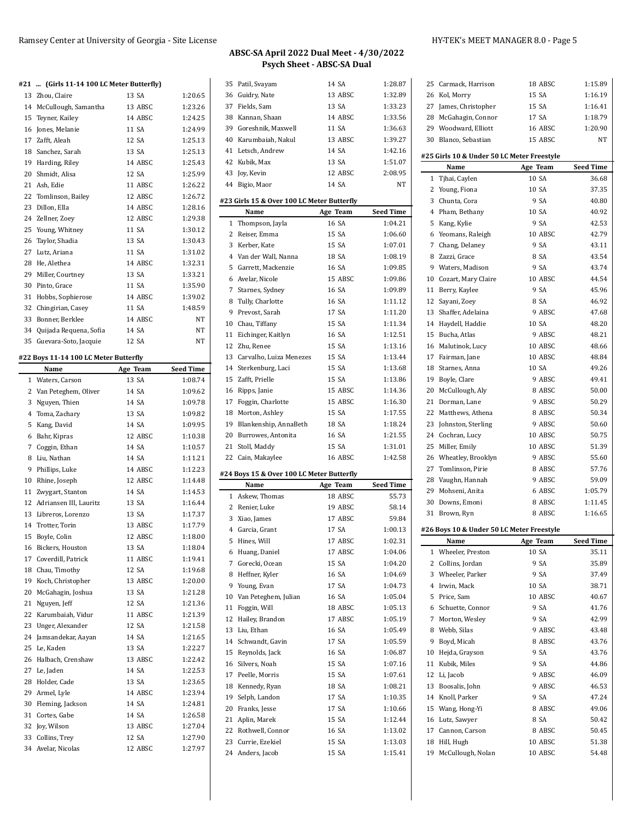Zhou, Claire 13 SA 1:20.65 McCullough, Samantha 13 ABSC 1:23.26 Teyner, Kailey 14 ABSC 1:24.25 Jones, Melanie 11 SA 1:24.99 Zafft, Aleah 12 SA 1:25.13 Sanchez, Sarah 13 SA 1:25.13 Harding, Riley 14 ABSC 1:25.43 Shmidt, Alisa 12 SA 1:25.99 Ash, Edie 11 ABSC 1:26.22 22 Tomlinson, Bailey 12 ABSC 1:26.72 Dillon, Ella 14 ABSC 1:28.16 Zellner, Zoey 12 ABSC 1:29.38 Young, Whitney 11 SA 1:30.12 Taylor, Shadia 13 SA 1:30.43 Lutz, Ariana 11 SA 1:31.02 He, Alethea 14 ABSC 1:32.31 Miller, Courtney 13 SA 1:33.21 Pinto, Grace 11 SA 1:35.90 Hobbs, Sophierose 14 ABSC 1:39.02 Chingirian, Casey 11 SA 1:48.59 Bonner, Berklee 14 ABSC NT Quijada Requena, Sofia 14 SA NT Guevara-Soto, Jacquie 12 SA NT

**#21 ... (Girls 11-14 100 LC Meter Butterfly)**

**#22 Boys 11-14 100 LC Meter Butterfly**

**Name Age Team Seed Time** Waters, Carson 13 SA 1:08.74 2 Van Peteghem, Oliver 14 SA 1:09.62 Nguyen, Thien 14 SA 1:09.78 Toma, Zachary 13 SA 1:09.82 Kang, David 14 SA 1:09.95 Bahr, Kipras 12 ABSC 1:10.38 Coggin, Ethan 14 SA 1:10.57 Liu, Nathan 14 SA 1:11.21 Phillips, Luke 14 ABSC 1:12.23 10 Rhine, Joseph 12 ABSC 1:14.48 Zwygart, Stanton 14 SA 1:14.53 12 Adriansen III, Lauritz 13 SA 1:16.44 Libreros, Lorenzo 13 SA 1:17.37 14 Trotter, Torin 13 ABSC 1:17.79 Boyle, Colin 12 ABSC 1:18.00 Bickers, Houston 13 SA 1:18.04 17 Coverdill, Patrick 11 ABSC 1:19.41 Chau, Timothy 12 SA 1:19.68 Koch, Christopher 13 ABSC 1:20.00 McGahagin, Joshua 13 SA 1:21.28 Nguyen, Jeff 12 SA 1:21.36 22 Karumbaiah, Vidur 11 ABSC 1:21.39 23 Unger, Alexander 12 SA 1:21.58 Jamsandekar, Aayan 14 SA 1:21.65 25 Le, Kaden 13 SA 1:22.27 Halbach, Crenshaw 13 ABSC 1:22.42 Le, Jaden 14 SA 1:22.53 Holder, Cade 13 SA 1:23.65 Armel, Lyle 14 ABSC 1:23.94 Fleming, Jackson 14 SA 1:24.81 Cortes, Gabe 14 SA 1:26.58 Joy, Wilson 13 ABSC 1:27.04 Collins, Trey 12 SA 1:27.90 Avelar, Nicolas 12 ABSC 1:27.97

## **ABSC-SA April 2022 Dual Meet - 4/30/2022 Psych Sheet - ABSC-SA Dual**

| 35 | Patil, Svayam                              | 14 SA             | 1:28.87                     |
|----|--------------------------------------------|-------------------|-----------------------------|
|    | 36 Guidry, Nate                            | 13 ABSC           | 1:32.89                     |
|    | 37 Fields, Sam                             | 13 SA             | 1:33.23                     |
|    | 38 Kannan, Shaan                           | 14 ABSC           | 1:33.56                     |
|    | 39 Goreshnik, Maxwell                      | 11 SA             | 1:36.63                     |
|    | 40 Karumbaiah, Nakul                       | 13 ABSC           | 1:39.27                     |
|    | 41 Letsch, Andrew                          | 14 SA             | 1:42.16                     |
|    | 42 Kubik, Max                              | 13 SA             | 1:51.07                     |
|    | 43 Joy, Kevin                              | 12 ABSC           | 2:08.95                     |
|    | 44 Bigio, Maor                             | 14 SA             | NT                          |
|    |                                            |                   |                             |
|    | #23 Girls 15 & Over 100 LC Meter Butterfly |                   |                             |
|    | Name                                       | Age Team<br>16 SA | <b>Seed Time</b><br>1:04.21 |
|    | 1 Thompson, Jayla<br>2 Reiser, Emma        | 15 SA             | 1:06.60                     |
|    | 3 Kerber, Kate                             | 15 SA             | 1:07.01                     |
|    | 4 Van der Wall, Nanna                      | 18 SA             | 1:08.19                     |
|    |                                            | 16 SA             | 1:09.85                     |
|    | 5 Garrett, Mackenzie                       |                   |                             |
|    | 6 Avelar, Nicole                           | 15 ABSC           | 1:09.86                     |
|    | 7 Starnes, Sydney                          | 16 SA             | 1:09.89<br>1:11.12          |
|    | 8 Tully, Charlotte                         | 16 SA             |                             |
|    | 9 Prevost, Sarah                           | 17 SA             | 1:11.20                     |
|    | 10 Chau, Tiffany                           | 15 SA             | 1:11.34<br>1:12.51          |
|    | 11 Eichinger, Kaitlyn                      | 16 SA             |                             |
|    | 12 Zhu, Renee                              | 15 SA             | 1:13.16                     |
|    | 13 Carvalho, Luiza Menezes                 | 15 SA             | 1:13.44                     |
|    | 14 Sterkenburg, Laci                       | 15 SA             | 1:13.68                     |
|    | 15 Zafft, Prielle                          | 15 SA             | 1:13.86                     |
|    | 16 Ripps, Janie                            | 15 ABSC           | 1:14.36                     |
|    | 17 Foggin, Charlotte                       | 15 ABSC           | 1:16.30                     |
|    | 18 Morton, Ashley                          | 15 SA             | 1:17.55                     |
|    | 19 Blankenship, AnnaBeth                   | 18 SA             | 1:18.24                     |
|    |                                            |                   |                             |
|    | 20 Burrowes, Antonita                      | 16 SA             | 1:21.55                     |
|    | 21 Stoll, Maddy                            | 15 SA             | 1:31.01                     |
|    | 22 Cain, Makaylee                          | 16 ABSC           | 1:42.58                     |
|    | #24 Boys 15 & Over 100 LC Meter Butterfly  |                   |                             |
|    | Name                                       | Age Team          | <b>Seed Time</b>            |
|    | 1 Askew, Thomas                            | 18 ABSC           | 55.73                       |
|    | 2 Renier, Luke                             | 19 ABSC           | 58.14                       |
|    | 3 Xiao, James                              | 17 ABSC           | 59.84                       |
|    | 4 Garcia, Grant                            | 17 SA             | 1:00.13                     |
|    | 5 Hines, Will                              | 17 ABSC           | 1:02.31                     |
|    | 6 Huang, Daniel                            | 17 ABSC           | 1:04.06                     |
|    | 7 Gorecki, Ocean                           | 15 SA             | 1:04.20                     |
|    | 8 Heffner, Kyler                           | 16 SA             | 1:04.69                     |
|    | 9 Young, Evan                              | 17 SA             | 1:04.73                     |
|    | 10 Van Peteghem, Julian                    | 16 SA             | 1:05.04                     |
|    | 11 Foggin, Will                            | 18 ABSC           | 1:05.13                     |
|    | 12 Hailey, Brandon                         | 17 ABSC           | 1:05.19                     |
|    | 13 Liu, Ethan                              | 16 SA             | 1:05.49                     |
|    | 14 Schwandt, Gavin                         | 17 SA             | 1:05.59                     |
|    | 15 Reynolds, Jack                          | 16 SA             | 1:06.87                     |
|    | 16 Silvers, Noah                           | 15 SA             | 1:07.16                     |
|    | 17 Peelle, Morris                          | 15 SA             | 1:07.61                     |
|    | 18 Kennedy, Ryan                           | 18 SA             | 1:08.21                     |
|    | 19 Selph, Landon                           | 17 SA             | 1:10.35                     |
|    | 20 Franks, Jesse                           | 17 SA             | 1:10.66                     |
|    | 21 Aplin, Marek                            | 15 SA             | 1:12.44                     |
|    | 22 Rothwell, Connor                        | 16 SA             | 1:13.02                     |
|    | 23 Currie, Ezekiel<br>24 Anders, Jacob     | 15 SA<br>15 SA    | 1:13.03<br>1:15.41          |

| 25 | Carmack, Harrison                          | 18 ABSC  | 1:15.89          |  |  |  |  |
|----|--------------------------------------------|----------|------------------|--|--|--|--|
|    | 26 Kol, Morry                              | 15 SA    | 1:16.19          |  |  |  |  |
| 27 | James, Christopher                         | 15 SA    | 1:16.41          |  |  |  |  |
|    | 28 McGahagin, Connor                       | 17 SA    | 1:18.79          |  |  |  |  |
|    | 29 Woodward, Elliott                       | 16 ABSC  | 1:20.90          |  |  |  |  |
|    | 30 Blanco, Sebastian                       | 15 ABSC  | NΤ               |  |  |  |  |
|    |                                            |          |                  |  |  |  |  |
|    | #25 Girls 10 & Under 50 LC Meter Freestyle |          |                  |  |  |  |  |
|    | Name                                       | Age Team | <b>Seed Time</b> |  |  |  |  |
| 1  | Tjhai, Caylen                              | 10 SA    | 36.68            |  |  |  |  |
| 2  | Young, Fiona                               | 10 SA    | 37.35            |  |  |  |  |
| 3  | Chunta, Cora                               | 9 SA     | 40.80            |  |  |  |  |
| 4  | Pham, Bethany                              | 10 SA    | 40.92            |  |  |  |  |
| 5  | Kang, Kylie                                | 9 SA     | 42.53            |  |  |  |  |
| 6  | Yeomans, Raleigh                           | 10 ABSC  | 42.79            |  |  |  |  |
| 7  | Chang, Delaney                             | 9 SA     | 43.11            |  |  |  |  |
|    | 8 Zazzi, Grace                             | 8 SA     | 43.54            |  |  |  |  |
|    | 9 Waters, Madison                          | 9 SA     | 43.74            |  |  |  |  |
| 10 | Cozart, Mary Claire                        | 10 ABSC  | 44.54            |  |  |  |  |
| 11 | Berry, Kaylee                              | 9 SA     | 45.96            |  |  |  |  |
| 12 | Sayani, Zoey                               | 8 SA     | 46.92            |  |  |  |  |
| 13 | Shaffer, Adelaina                          | 9 ABSC   | 47.68            |  |  |  |  |
| 14 | Haydell, Haddie                            | 10 SA    | 48.20            |  |  |  |  |
| 15 | Bucha, Atlas                               | 9 ABSC   | 48.21            |  |  |  |  |
|    | 16 Malutinok, Lucy                         | 10 ABSC  | 48.66            |  |  |  |  |
| 17 | Fairman, Jane                              | 10 ABSC  | 48.84            |  |  |  |  |
|    | 18 Starnes, Anna                           | 10 SA    | 49.26            |  |  |  |  |
|    | 19 Boyle, Clare                            | 9 ABSC   | 49.41            |  |  |  |  |
| 20 | McCullough, Aly                            | 8 ABSC   | 50.00            |  |  |  |  |
| 21 | Dorman, Lane                               | 9 ABSC   | 50.29            |  |  |  |  |
| 22 | Matthews, Athena                           | 8 ABSC   | 50.34            |  |  |  |  |
| 23 | Johnston, Sterling                         | 9 ABSC   | 50.60            |  |  |  |  |
|    | 24 Cochran, Lucy                           | 10 ABSC  | 50.75            |  |  |  |  |
| 25 | Miller, Emily                              | 10 ABSC  | 51.39            |  |  |  |  |
|    | 26 Wheatley, Brooklyn                      | 9 ABSC   | 55.60            |  |  |  |  |
| 27 | Tomlinson, Pirie                           | 8 ABSC   | 57.76            |  |  |  |  |
|    | 28 Vaughn, Hannah                          | 9 ABSC   | 59.09            |  |  |  |  |
|    | 29 Mohseni, Anita                          | 6 ABSC   | 1:05.79          |  |  |  |  |
| 30 | Downs, Emoni                               | 8 ABSC   | 1:11.45          |  |  |  |  |
| 31 | Brown, Ryn                                 | 8 ABSC   | 1:16.65          |  |  |  |  |
|    | #26 Boys 10 & Under 50 LC Meter Freestyle  |          |                  |  |  |  |  |
|    | Name                                       | Age Team | <b>Seed Time</b> |  |  |  |  |
| 1  | Wheeler, Preston                           | 10 SA    | 35.11            |  |  |  |  |
|    | 2 Collins, Jordan                          | 9 SA     | 35.89            |  |  |  |  |
| 3  | Wheeler, Parker                            | 9 SA     | 37.49            |  |  |  |  |
| 4  | Irwin, Mack                                | 10 SA    | 38.71            |  |  |  |  |
| 5  | Price, Sam                                 | 10 ABSC  | 40.67            |  |  |  |  |
| 6  | Schuette, Connor                           | 9 SA     | 41.76            |  |  |  |  |
| 7  | Morton, Wesley                             | 9 SA     | 42.99            |  |  |  |  |
| 8  | Webb, Silas                                | 9 ABSC   | 43.48            |  |  |  |  |
| 9  | Boyd, Micah                                | 8 ABSC   | 43.76            |  |  |  |  |
| 10 | Hejda, Grayson                             | 9 SA     | 43.76            |  |  |  |  |
| 11 | Kubik, Miles                               | 9 SA     | 44.86            |  |  |  |  |
|    | 12 Li, Jacob                               | 9 ABSC   | 46.09            |  |  |  |  |
| 13 | Boosalis, John                             | 9 ABSC   | 46.53            |  |  |  |  |
|    | 14 Knoll, Parker                           | 9 SA     | 47.24            |  |  |  |  |
|    | 15 Wang, Hong-Yi                           | 8 ABSC   | 49.06            |  |  |  |  |
|    | 16 Lutz, Sawyer                            | 8 SA     | 50.42            |  |  |  |  |
|    | 17 Cannon, Carson                          | 8 ABSC   | 50.45            |  |  |  |  |
|    | 18 Hill, Hugh                              | 10 ABSC  | 51.38            |  |  |  |  |
|    | 19 McCullough, Nolan                       | 10 ABSC  | 54.48            |  |  |  |  |
|    |                                            |          |                  |  |  |  |  |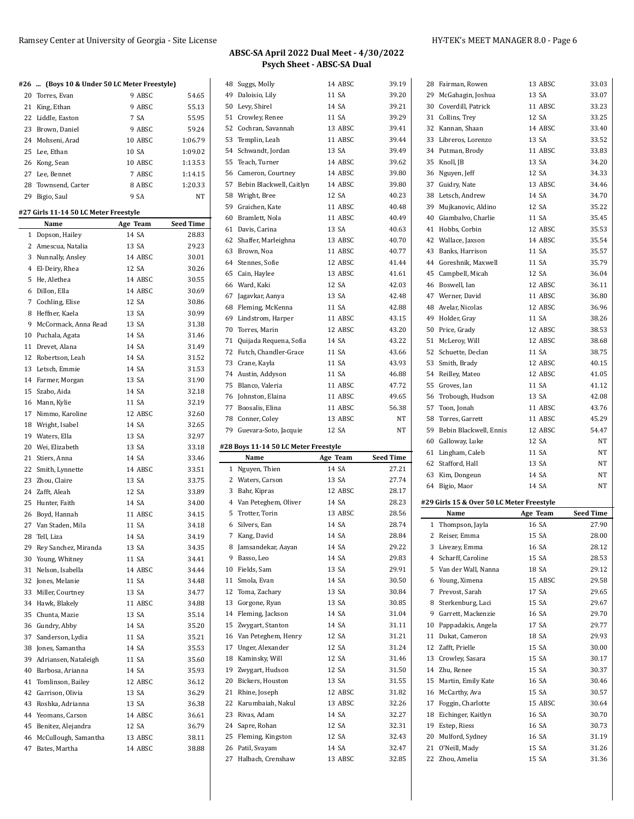## **ABSC-SA April 2022 Dual Meet - 4/30/2022 Psych Sheet - ABSC-SA Dual**

|    | #26  (Boys 10 & Under 50 LC Meter Freestyle) |          |                  |    | 48 Suggs, Molly                      | 14 ABSC  | 39.19            |
|----|----------------------------------------------|----------|------------------|----|--------------------------------------|----------|------------------|
|    | 20 Torres, Evan                              | 9 ABSC   | 54.65            |    | 49 Daloisio, Lily                    | 11 SA    | 39.20            |
|    | 21 King, Ethan                               | 9 ABSC   | 55.13            |    | 50 Levy, Shirel                      | 14 SA    | 39.21            |
|    | 22 Liddle, Easton                            | 7 SA     | 55.95            | 51 | Crowley, Renee                       | 11 SA    | 39.29            |
|    | 23 Brown, Daniel                             | 9 ABSC   | 59.24            | 52 | Cochran, Savannah                    | 13 ABSC  | 39.41            |
|    | 24 Mohseni, Arad                             | 10 ABSC  | 1:06.79          | 53 | Templin, Leah                        | 11 ABSC  | 39.44            |
|    | 25 Lee, Ethan                                | 10 SA    | 1:09.02          | 54 | Schwandt, Jordan                     | 13 SA    | 39.49            |
|    | 26 Kong, Sean                                | 10 ABSC  | 1:13.53          | 55 | Teach, Turner                        | 14 ABSC  | 39.62            |
|    | 27 Lee, Bennet                               | 7 ABSC   | 1:14.15          | 56 | Cameron, Courtney                    | 14 ABSC  | 39.80            |
|    | 28 Townsend, Carter                          | 8 ABSC   | 1:20.33          | 57 | Bebin Blackwell, Caitlyn             | 14 ABSC  | 39.80            |
|    | 29 Bigio, Saul                               | 9 SA     | NT               | 58 | Wright, Bree                         | 12 SA    | 40.23            |
|    |                                              |          |                  | 59 | Graichen, Kate                       | 11 ABSC  | 40.48            |
|    | #27 Girls 11-14 50 LC Meter Freestyle        |          |                  | 60 | Bramlett, Nola                       | 11 ABSC  | 40.49            |
|    | Name                                         | Age Team | <b>Seed Time</b> |    | 61 Davis, Carina                     | 13 SA    | 40.63            |
|    | 1 Dopson, Hailey                             | 14 SA    | 28.83            | 62 | Shaffer, Marleighna                  | 13 ABSC  | 40.70            |
|    | 2 Amescua, Natalia                           | 13 SA    | 29.23            |    | 63 Brown, Noa                        | 11 ABSC  | 40.77            |
|    | 3 Nunnally, Ansley                           | 14 ABSC  | 30.01            |    | 64 Stennes, Sofie                    | 12 ABSC  | 41.44            |
|    | 4 El-Deiry, Rhea                             | 12 SA    | 30.26            |    | 65 Cain, Haylee                      | 13 ABSC  | 41.61            |
|    | 5 He, Alethea                                | 14 ABSC  | 30.55            |    | 66 Ward, Kaki                        | 12 SA    | 42.03            |
|    | 6 Dillon, Ella                               | 14 ABSC  | 30.69            | 67 | Jagavkar, Aanya                      | 13 SA    | 42.48            |
|    | 7 Cochling, Elise                            | 12 SA    | 30.86            |    | 68 Fleming, McKenna                  | 11 SA    | 42.88            |
|    | 8 Heffner, Kaela                             | 13 SA    | 30.99            |    | 69 Lindstrom, Harper                 | 11 ABSC  | 43.15            |
|    | 9 McCormack, Anna Read                       | 13 SA    | 31.38            |    | 70 Torres, Marin                     | 12 ABSC  | 43.20            |
|    | 10 Puchala, Agata                            | 14 SA    | 31.46            | 71 | Quijada Requena, Sofia               | 14 SA    | 43.22            |
|    | 11 Drevet, Alana                             | 14 SA    | 31.49            |    | 72 Futch, Chandler-Grace             | 11 SA    | 43.66            |
|    | 12 Robertson, Leah                           | 14 SA    | 31.52            | 73 | Crane, Kayla                         | 11 SA    | 43.93            |
|    | 13 Letsch, Emmie                             | 14 SA    | 31.53            |    | 74 Austin, Addyson                   | 11 SA    | 46.88            |
|    | 14 Farmer, Morgan                            | 13 SA    | 31.90            |    | 75 Blanco, Valeria                   | 11 ABSC  | 47.72            |
|    | 15 Szabo, Aida                               | 14 SA    | 32.18            |    | 76 Johnston, Elaina                  | 11 ABSC  | 49.65            |
|    | 16 Mann, Kylie                               | 11 SA    | 32.19            |    | 77 Boosalis, Elina                   | 11 ABSC  | 56.38            |
|    | 17 Nimmo, Karoline                           | 12 ABSC  | 32.60            |    | 78 Conner, Coley                     | 13 ABSC  | NT               |
| 18 | Wright, Isabel                               | 14 SA    | 32.65            |    | 79 Guevara-Soto, Jacquie             | 12 SA    | NT               |
|    | 19 Waters, Ella                              | 13 SA    | 32.97            |    |                                      |          |                  |
|    | 20 Wei, Elizabeth                            | 13 SA    | 33.18            |    | #28 Boys 11-14 50 LC Meter Freestyle |          |                  |
|    | 21 Stiers, Anna                              | 14 SA    | 33.46            |    | Name                                 | Age Team | <b>Seed Time</b> |
|    | 22 Smith, Lynnette                           | 14 ABSC  | 33.51            |    | 1 Nguyen, Thien                      | 14 SA    | 27.21            |
|    | 23 Zhou, Claire                              | 13 SA    | 33.75            |    | 2 Waters, Carson                     | 13 SA    | 27.74            |
|    | 24 Zafft, Aleah                              | 12 SA    | 33.89            |    | 3 Bahr, Kipras                       | 12 ABSC  | 28.17            |
|    | 25 Hunter, Faith                             | 14 SA    | 34.00            |    | 4 Van Peteghem, Oliver               | 14 SA    | 28.23            |
|    | 26 Boyd, Hannah                              | 11 ABSC  | 34.15            | 5  | Trotter, Torin                       | 13 ABSC  | 28.56            |
|    | 27 Van Staden, Mila                          | 11 SA    | 34.18            |    | 6 Silvers, Ean                       | 14 SA    | 28.74            |
|    | 28 Tell, Liza                                | 14 SA    | 34.19            |    | 7 Kang, David                        | 14 SA    | 28.84            |
|    | 29 Rey Sanchez, Miranda                      | 13 SA    | 34.35            |    | 8 Jamsandekar, Aayan                 | 14 SA    | 29.22            |
| 30 | Young, Whitney                               | 11 SA    | 34.41            | 9  | Basso, Leo                           | 14 SA    | 29.83            |
| 31 | Nelson, Isabella                             | 14 ABSC  | 34.44            | 10 | Fields, Sam                          | 13 SA    | 29.91            |
| 32 | Jones, Melanie                               | 11 SA    | 34.48            | 11 | Smola, Evan                          | 14 SA    | 30.50            |
| 33 | Miller, Courtney                             | 13 SA    | 34.77            | 12 | Toma, Zachary                        | 13 SA    | 30.84            |
| 34 | Hawk, Blakely                                | 11 ABSC  | 34.88            | 13 | Gorgone, Ryan                        | 13 SA    | 30.85            |
| 35 | Chunta, Mazie                                | 13 SA    | 35.14            | 14 | Fleming, Jackson                     | 14 SA    | 31.04            |
| 36 | Gundry, Abby                                 | 14 SA    | 35.20            | 15 | Zwygart, Stanton                     | 14 SA    | 31.11            |
| 37 | Sanderson, Lydia                             | 11 SA    | 35.21            | 16 | Van Peteghem, Henry                  | 12 SA    | 31.21            |
| 38 | Jones, Samantha                              | 14 SA    | 35.53            | 17 | Unger, Alexander                     | 12 SA    | 31.24            |
| 39 | Adriansen, Nataleigh                         | 11 SA    | 35.60            | 18 | Kaminsky, Will                       | 12 SA    | 31.46            |
| 40 | Barbosa, Arianna                             | 14 SA    | 35.93            | 19 | Zwygart, Hudson                      | 12 SA    | 31.50            |
| 41 | Tomlinson, Bailey                            | 12 ABSC  | 36.12            | 20 | Bickers, Houston                     | 13 SA    | 31.55            |
| 42 | Garrison, Olivia                             | 13 SA    | 36.29            | 21 | Rhine, Joseph                        | 12 ABSC  | 31.82            |
| 43 | Roshka, Adrianna                             | 13 SA    | 36.38            | 22 | Karumbaiah, Nakul                    | 13 ABSC  | 32.26            |
| 44 | Yeomans, Carson                              | 14 ABSC  | 36.61            | 23 | Rivas, Adam                          | 14 SA    | 32.27            |
| 45 | Benitez, Alejandra                           | 12 SA    | 36.79            | 24 | Sapre, Rohan                         | 12 SA    | 32.31            |
| 46 | McCullough, Samantha                         | 13 ABSC  | 38.11            | 25 | Fleming, Kingston                    | 12 SA    | 32.43            |
| 47 | Bates, Martha                                | 14 ABSC  | 38.88            |    | 26 Patil, Svayam                     | 14 SA    | 32.47            |
|    |                                              |          |                  |    | 27 Halbach, Crenshaw                 | 13 ABSC  | 32.85            |

| 28           | Fairman, Rowen                            | 13 ABSC        | 33.03            |
|--------------|-------------------------------------------|----------------|------------------|
|              | 29 McGahagin, Joshua                      | 13 SA          | 33.07            |
|              | 30 Coverdill, Patrick                     | 11 ABSC        | 33.23            |
|              | 31 Collins, Trey                          | 12 SA          | 33.25            |
|              | 32 Kannan, Shaan                          | 14 ABSC        | 33.40            |
|              | 33 Libreros, Lorenzo                      | 13 SA          | 33.52            |
|              | 34 Putman, Brody                          | 11 ABSC        | 33.83            |
|              | 35 Knoll, JB                              | 13 SA          | 34.20            |
|              | 36 Nguyen, Jeff                           | 12 SA          | 34.33            |
|              | 37 Guidry, Nate                           | 13 ABSC        | 34.46            |
|              | 38 Letsch, Andrew                         | 14 SA          | 34.70            |
|              | 39 Mujkanovic, Aldino                     | 12 SA          | 35.22            |
|              | 40 Giambalvo, Charlie                     | 11 SA          | 35.45            |
|              | 41 Hobbs, Corbin                          | 12 ABSC        | 35.53            |
|              | 42 Wallace, Jaxson                        | 14 ABSC        | 35.54            |
|              | 43 Banks, Harrison                        | 11 SA          | 35.57            |
|              | 44 Goreshnik, Maxwell                     | 11 SA          | 35.79            |
|              | 45 Campbell, Micah                        | 12 SA          | 36.04            |
|              | 46 Boswell, Ian                           | 12 ABSC        | 36.11            |
|              | 47 Werner, David                          | 11 ABSC        | 36.80            |
|              | 48 Avelar, Nicolas                        | 12 ABSC        | 36.96            |
|              | 49 Holder, Gray                           | 11 SA          | 38.26            |
|              | 50 Price, Grady                           | 12 ABSC        | 38.53            |
|              | 51 McLeroy, Will                          | 12 ABSC        | 38.68            |
|              | 52 Schuette. Declan                       | 11 SA          | 38.75            |
|              | 53 Smith, Brady                           | 12 ABSC        | 40.15            |
|              |                                           | 12 ABSC        | 41.05            |
|              | 54 Reilley, Mateo                         |                |                  |
|              | 55 Groves, Ian                            | 11 SA          | 41.12            |
|              | 56 Trobough, Hudson                       | 13 SA          | 42.08            |
|              | 57 Toon, Jonah                            | 11 ABSC        | 43.76            |
|              | 58 Torres, Garrett                        | 11 ABSC        | 45.29            |
|              |                                           |                |                  |
|              | 59 Bebin Blackwell, Ennis                 | 12 ABSC        | 54.47            |
|              | 60 Galloway, Luke                         | 12 SA          | NT               |
|              | 61 Lingham, Caleb                         | 11 SA          | NΤ               |
|              | 62 Stafford, Hall                         | 13 SA          | NΤ               |
|              | 63 Kim, Dongeun                           | 14 SA          | NΤ               |
|              | 64 Bigio, Maor                            | 14 SA          | NΤ               |
|              | #29 Girls 15 & Over 50 LC Meter Freestyle |                |                  |
|              | Name                                      | Age Team       | <b>Seed Time</b> |
| $\mathbf{1}$ | Thompson, Jayla                           | 16 SA          | 27.90            |
| 2            | Reiser, Emma                              | 15 SA          | 28.00            |
| 3            | Livezey, Emma                             | 16 SA          |                  |
|              | 4 Scharff, Caroline                       | 15 SA          | 28.12<br>28.53   |
|              | 5 Van der Wall, Nanna                     | 18 SA          | 29.12            |
|              | 6 Young, Ximena                           | 15 ABSC        | 29.58            |
|              | 7 Prevost, Sarah                          | 17 SA          | 29.65            |
|              | 8 Sterkenburg, Laci                       | 15 SA          | 29.67            |
|              | 9 Garrett, Mackenzie                      | 16 SA          |                  |
|              |                                           |                | 29.70            |
|              | 10 Pappadakis, Angela                     | 17 SA<br>18 SA | 29.77            |
|              | 11 Dukat, Cameron                         | 15 SA          | 29.93            |
|              | 12 Zafft, Prielle                         |                | 30.00            |
|              | 13 Crowley, Sasara                        | 15 SA          | 30.17            |
|              | 14 Zhu, Renee                             | 15 SA          | 30.37            |
| 15           | Martin, Emily Kate                        | 16 SA          | 30.46            |
|              | 16 McCarthy, Ava                          | 15 SA          | 30.57            |
| 17           | Foggin, Charlotte                         | 15 ABSC        | 30.64            |
|              | 18 Eichinger, Kaitlyn                     | 16 SA          | 30.70            |
|              | 19 Estep, Riess                           | 16 SA          | 30.73            |
|              | 20 Mulford, Sydney                        | 16 SA          | 31.19            |
|              | 21 O'Neill, Mady<br>22 Zhou, Amelia       | 15 SA<br>15 SA | 31.26<br>31.36   |